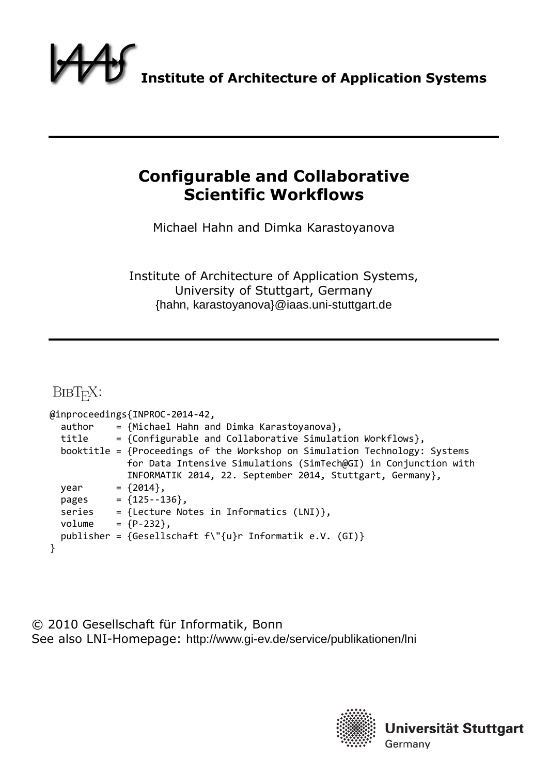

# **Configurable and Collaborative Scientific Workflows**

Michael Hahn and Dimka Karastoyanova

Institute of Architecture of Application Systems, University of Stuttgart, Germany {hahn, karastoyanova}@iaas.uni-stuttgart.de

BIBT<sub>E</sub>X:

|        | @inproceedings{INPROC-2014-42,                                             |
|--------|----------------------------------------------------------------------------|
| author | = {Michael Hahn and Dimka Karastoyanova},                                  |
| title  | = {Configurable and Collaborative Simulation Workflows},                   |
|        | booktitle = {Proceedings of the Workshop on Simulation Technology: Systems |
|        | for Data Intensive Simulations (SimTech@GI) in Conjunction with            |
|        | INFORMATIK 2014, 22. September 2014, Stuttgart, Germany},                  |
| year   | $= \{2014\},\$                                                             |
| pages  | $= \{125 - -136\},\$                                                       |
| series | = {Lecture Notes in Informatics (LNI)},                                    |
| volume | $= {P-232}$ ,                                                              |
|        | publisher = {Gesellschaft $f\T$ {u}r Informatik e.V. (GI)}                 |
|        |                                                                            |

© 2010 Gesellschaft für Informatik, Bonn See also LNI-Homepage: http://www.gi-ev.de/service/publikationen/lni



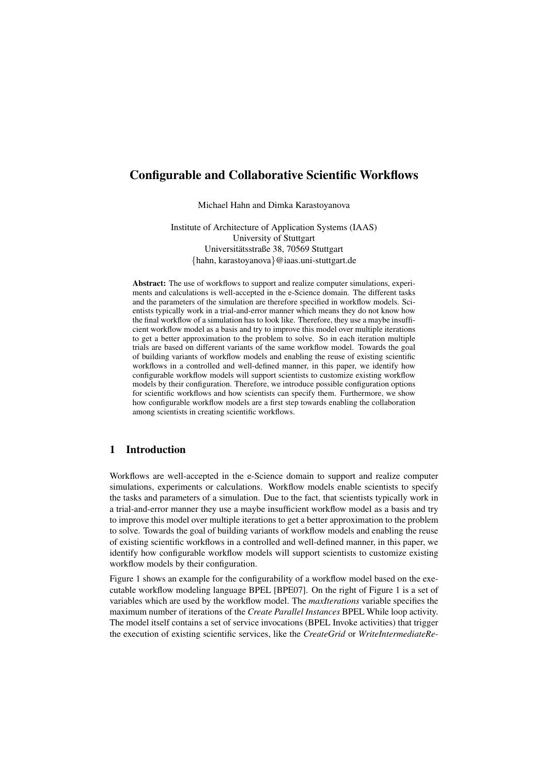# Configurable and Collaborative Scientific Workflows

Michael Hahn and Dimka Karastoyanova

Institute of Architecture of Application Systems (IAAS) University of Stuttgart Universitatsstraße 38, 70569 Stuttgart ¨ {hahn, karastoyanova}@iaas.uni-stuttgart.de

Abstract: The use of workflows to support and realize computer simulations, experiments and calculations is well-accepted in the e-Science domain. The different tasks and the parameters of the simulation are therefore specified in workflow models. Scientists typically work in a trial-and-error manner which means they do not know how the final workflow of a simulation has to look like. Therefore, they use a maybe insufficient workflow model as a basis and try to improve this model over multiple iterations to get a better approximation to the problem to solve. So in each iteration multiple trials are based on different variants of the same workflow model. Towards the goal of building variants of workflow models and enabling the reuse of existing scientific workflows in a controlled and well-defined manner, in this paper, we identify how configurable workflow models will support scientists to customize existing workflow models by their configuration. Therefore, we introduce possible configuration options for scientific workflows and how scientists can specify them. Furthermore, we show how configurable workflow models are a first step towards enabling the collaboration among scientists in creating scientific workflows.

## 1 Introduction

Workflows are well-accepted in the e-Science domain to support and realize computer simulations, experiments or calculations. Workflow models enable scientists to specify the tasks and parameters of a simulation. Due to the fact, that scientists typically work in a trial-and-error manner they use a maybe insufficient workflow model as a basis and try to improve this model over multiple iterations to get a better approximation to the problem to solve. Towards the goal of building variants of workflow models and enabling the reuse of existing scientific workflows in a controlled and well-defined manner, in this paper, we identify how configurable workflow models will support scientists to customize existing workflow models by their configuration.

Figure 1 shows an example for the configurability of a workflow model based on the executable workflow modeling language BPEL [BPE07]. On the right of Figure 1 is a set of variables which are used by the workflow model. The *maxIterations* variable specifies the maximum number of iterations of the *Create Parallel Instances* BPEL While loop activity. The model itself contains a set of service invocations (BPEL Invoke activities) that trigger the execution of existing scientific services, like the *CreateGrid* or *WriteIntermediateRe-*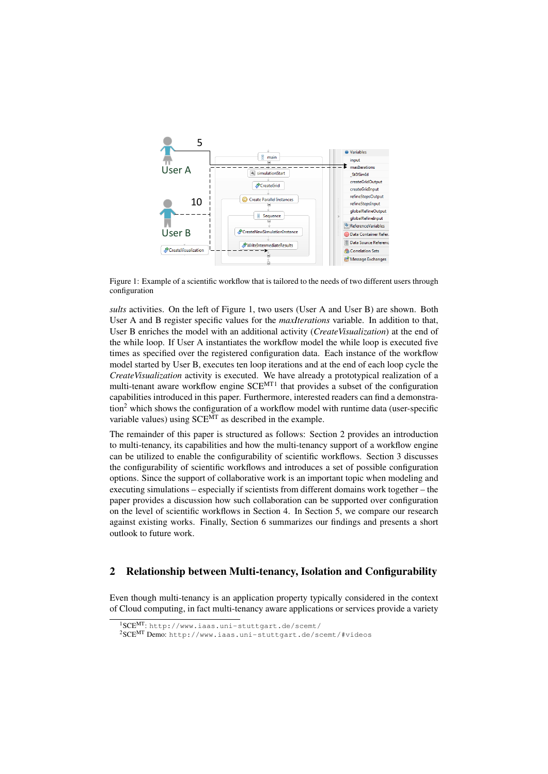

Figure 1: Example of a scientific workflow that is tailored to the needs of two different users through configuration

*sults* activities. On the left of Figure 1, two users (User A and User B) are shown. Both User A and B register specific values for the *maxIterations* variable. In addition to that, User B enriches the model with an additional activity (*CreateVisualization*) at the end of the while loop. If User A instantiates the workflow model the while loop is executed five times as specified over the registered configuration data. Each instance of the workflow model started by User B, executes ten loop iterations and at the end of each loop cycle the *CreateVisualization* activity is executed. We have already a prototypical realization of a multi-tenant aware workflow engine SCE<sup>MT1</sup> that provides a subset of the configuration capabilities introduced in this paper. Furthermore, interested readers can find a demonstration<sup>2</sup> which shows the configuration of a workflow model with runtime data (user-specific variable values) using  $SCE<sup>MT</sup>$  as described in the example.

The remainder of this paper is structured as follows: Section 2 provides an introduction to multi-tenancy, its capabilities and how the multi-tenancy support of a workflow engine can be utilized to enable the configurability of scientific workflows. Section 3 discusses the configurability of scientific workflows and introduces a set of possible configuration options. Since the support of collaborative work is an important topic when modeling and executing simulations – especially if scientists from different domains work together – the paper provides a discussion how such collaboration can be supported over configuration on the level of scientific workflows in Section 4. In Section 5, we compare our research against existing works. Finally, Section 6 summarizes our findings and presents a short outlook to future work.

## 2 Relationship between Multi-tenancy, Isolation and Configurability

Even though multi-tenancy is an application property typically considered in the context of Cloud computing, in fact multi-tenancy aware applications or services provide a variety

<sup>1</sup>SCEMT: http://www.iaas.uni-stuttgart.de/scemt/

<sup>2</sup>SCEMT Demo: http://www.iaas.uni-stuttgart.de/scemt/#videos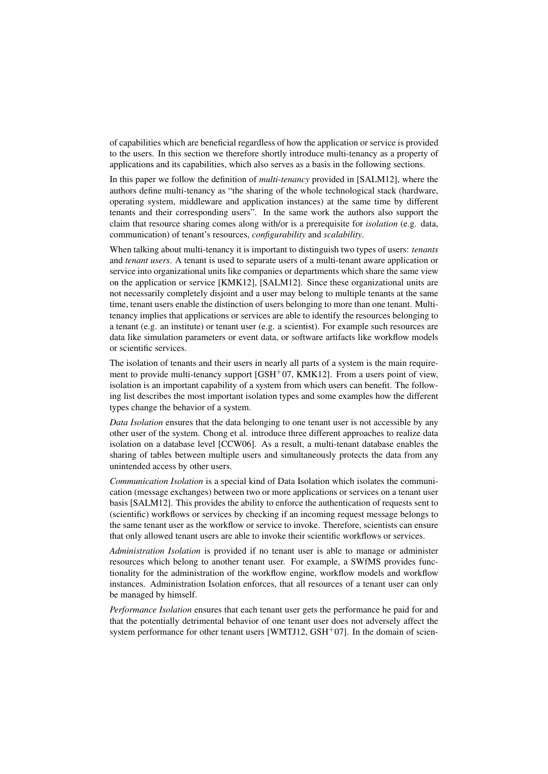of capabilities which are beneficial regardless of how the application or service is provided to the users. In this section we therefore shortly introduce multi-tenancy as a property of applications and its capabilities, which also serves as a basis in the following sections.

In this paper we follow the definition of *multi-tenancy* provided in [SALM12], where the authors define multi-tenancy as "the sharing of the whole technological stack (hardware, operating system, middleware and application instances) at the same time by different tenants and their corresponding users". In the same work the authors also support the claim that resource sharing comes along with/or is a prerequisite for *isolation* (e.g. data, communication) of tenant's resources, *configurability* and *scalability*.

When talking about multi-tenancy it is important to distinguish two types of users: *tenants* and *tenant users*. A tenant is used to separate users of a multi-tenant aware application or service into organizational units like companies or departments which share the same view on the application or service [KMK12], [SALM12]. Since these organizational units are not necessarily completely disjoint and a user may belong to multiple tenants at the same time, tenant users enable the distinction of users belonging to more than one tenant. Multitenancy implies that applications or services are able to identify the resources belonging to a tenant (e.g. an institute) or tenant user (e.g. a scientist). For example such resources are data like simulation parameters or event data, or software artifacts like workflow models or scientific services.

The isolation of tenants and their users in nearly all parts of a system is the main requirement to provide multi-tenancy support  $[GSH<sup>+</sup>07, KMK12]$ . From a users point of view, isolation is an important capability of a system from which users can benefit. The following list describes the most important isolation types and some examples how the different types change the behavior of a system.

*Data Isolation* ensures that the data belonging to one tenant user is not accessible by any other user of the system. Chong et al. introduce three different approaches to realize data isolation on a database level [CCW06]. As a result, a multi-tenant database enables the sharing of tables between multiple users and simultaneously protects the data from any unintended access by other users.

*Communication Isolation* is a special kind of Data Isolation which isolates the communication (message exchanges) between two or more applications or services on a tenant user basis [SALM12]. This provides the ability to enforce the authentication of requests sent to (scientific) workflows or services by checking if an incoming request message belongs to the same tenant user as the workflow or service to invoke. Therefore, scientists can ensure that only allowed tenant users are able to invoke their scientific workflows or services.

*Administration Isolation* is provided if no tenant user is able to manage or administer resources which belong to another tenant user. For example, a SWfMS provides functionality for the administration of the workflow engine, workflow models and workflow instances. Administration Isolation enforces, that all resources of a tenant user can only be managed by himself.

*Performance Isolation* ensures that each tenant user gets the performance he paid for and that the potentially detrimental behavior of one tenant user does not adversely affect the system performance for other tenant users [WMTJ12,  $GSH<sup>+</sup>07$ ]. In the domain of scien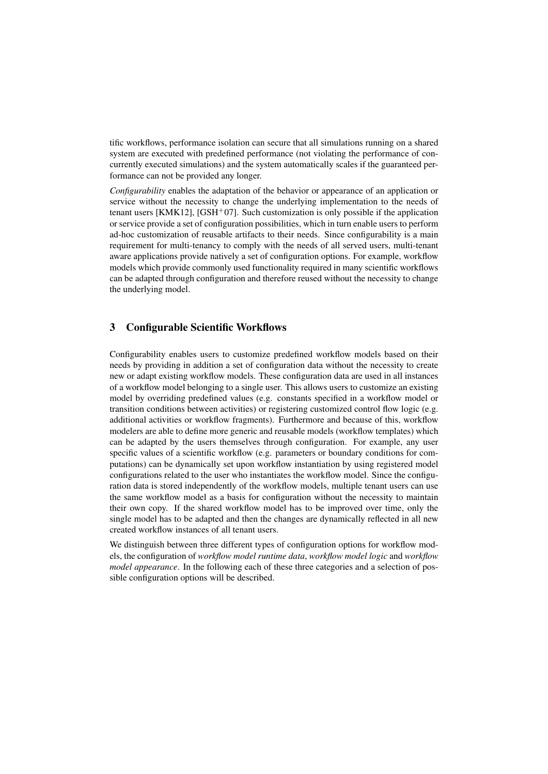tific workflows, performance isolation can secure that all simulations running on a shared system are executed with predefined performance (not violating the performance of concurrently executed simulations) and the system automatically scales if the guaranteed performance can not be provided any longer.

*Configurability* enables the adaptation of the behavior or appearance of an application or service without the necessity to change the underlying implementation to the needs of tenant users [KMK12], [GSH<sup>+</sup>07]. Such customization is only possible if the application or service provide a set of configuration possibilities, which in turn enable users to perform ad-hoc customization of reusable artifacts to their needs. Since configurability is a main requirement for multi-tenancy to comply with the needs of all served users, multi-tenant aware applications provide natively a set of configuration options. For example, workflow models which provide commonly used functionality required in many scientific workflows can be adapted through configuration and therefore reused without the necessity to change the underlying model.

## 3 Configurable Scientific Workflows

Configurability enables users to customize predefined workflow models based on their needs by providing in addition a set of configuration data without the necessity to create new or adapt existing workflow models. These configuration data are used in all instances of a workflow model belonging to a single user. This allows users to customize an existing model by overriding predefined values (e.g. constants specified in a workflow model or transition conditions between activities) or registering customized control flow logic (e.g. additional activities or workflow fragments). Furthermore and because of this, workflow modelers are able to define more generic and reusable models (workflow templates) which can be adapted by the users themselves through configuration. For example, any user specific values of a scientific workflow (e.g. parameters or boundary conditions for computations) can be dynamically set upon workflow instantiation by using registered model configurations related to the user who instantiates the workflow model. Since the configuration data is stored independently of the workflow models, multiple tenant users can use the same workflow model as a basis for configuration without the necessity to maintain their own copy. If the shared workflow model has to be improved over time, only the single model has to be adapted and then the changes are dynamically reflected in all new created workflow instances of all tenant users.

We distinguish between three different types of configuration options for workflow models, the configuration of *workflow model runtime data*, *workflow model logic* and *workflow model appearance*. In the following each of these three categories and a selection of possible configuration options will be described.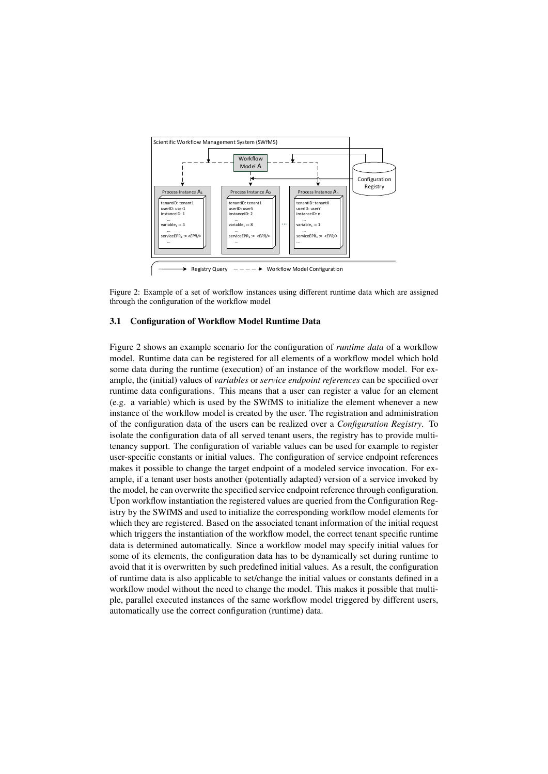

Figure 2: Example of a set of workflow instances using different runtime data which are assigned through the configuration of the workflow model

#### 3.1 Configuration of Workflow Model Runtime Data

Figure 2 shows an example scenario for the configuration of *runtime data* of a workflow model. Runtime data can be registered for all elements of a workflow model which hold some data during the runtime (execution) of an instance of the workflow model. For example, the (initial) values of *variables* or *service endpoint references* can be specified over runtime data configurations. This means that a user can register a value for an element (e.g. a variable) which is used by the SWfMS to initialize the element whenever a new instance of the workflow model is created by the user. The registration and administration of the configuration data of the users can be realized over a *Configuration Registry*. To isolate the configuration data of all served tenant users, the registry has to provide multitenancy support. The configuration of variable values can be used for example to register user-specific constants or initial values. The configuration of service endpoint references makes it possible to change the target endpoint of a modeled service invocation. For example, if a tenant user hosts another (potentially adapted) version of a service invoked by the model, he can overwrite the specified service endpoint reference through configuration. Upon workflow instantiation the registered values are queried from the Configuration Registry by the SWfMS and used to initialize the corresponding workflow model elements for which they are registered. Based on the associated tenant information of the initial request which triggers the instantiation of the workflow model, the correct tenant specific runtime data is determined automatically. Since a workflow model may specify initial values for some of its elements, the configuration data has to be dynamically set during runtime to avoid that it is overwritten by such predefined initial values. As a result, the configuration of runtime data is also applicable to set/change the initial values or constants defined in a workflow model without the need to change the model. This makes it possible that multiple, parallel executed instances of the same workflow model triggered by different users, automatically use the correct configuration (runtime) data.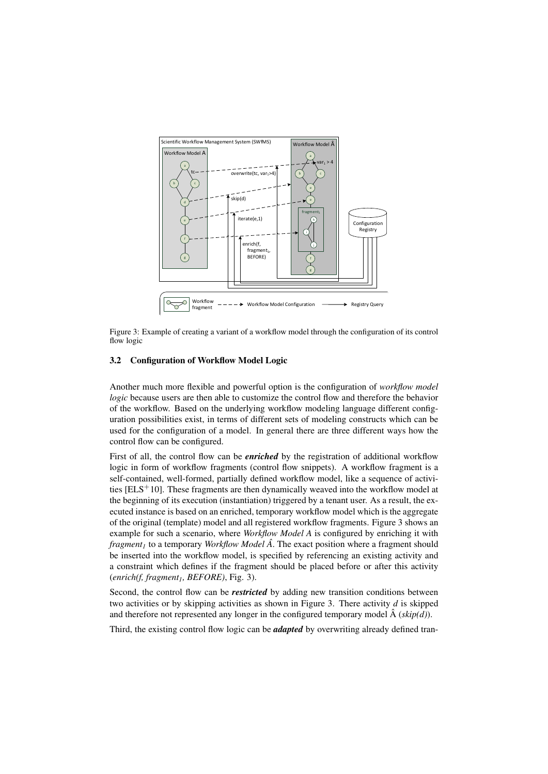

Figure 3: Example of creating a variant of a workflow model through the configuration of its control flow logic

#### 3.2 Configuration of Workflow Model Logic

Another much more flexible and powerful option is the configuration of *workflow model logic* because users are then able to customize the control flow and therefore the behavior of the workflow. Based on the underlying workflow modeling language different configuration possibilities exist, in terms of different sets of modeling constructs which can be used for the configuration of a model. In general there are three different ways how the control flow can be configured.

First of all, the control flow can be *enriched* by the registration of additional workflow logic in form of workflow fragments (control flow snippets). A workflow fragment is a self-contained, well-formed, partially defined workflow model, like a sequence of activities  $[ELS<sup>+</sup>10]$ . These fragments are then dynamically weaved into the workflow model at the beginning of its execution (instantiation) triggered by a tenant user. As a result, the executed instance is based on an enriched, temporary workflow model which is the aggregate of the original (template) model and all registered workflow fragments. Figure 3 shows an example for such a scenario, where *Workflow Model A* is configured by enriching it with *fragment<sup>1</sup>* to a temporary *Workflow Model Aˆ*. The exact position where a fragment should be inserted into the workflow model, is specified by referencing an existing activity and a constraint which defines if the fragment should be placed before or after this activity (*enrich(f, fragment1, BEFORE)*, Fig. 3).

Second, the control flow can be *restricted* by adding new transition conditions between two activities or by skipping activities as shown in Figure 3. There activity *d* is skipped and therefore not represented any longer in the configured temporary model  $\hat{A}$  (*skip(d)*).

Third, the existing control flow logic can be *adapted* by overwriting already defined tran-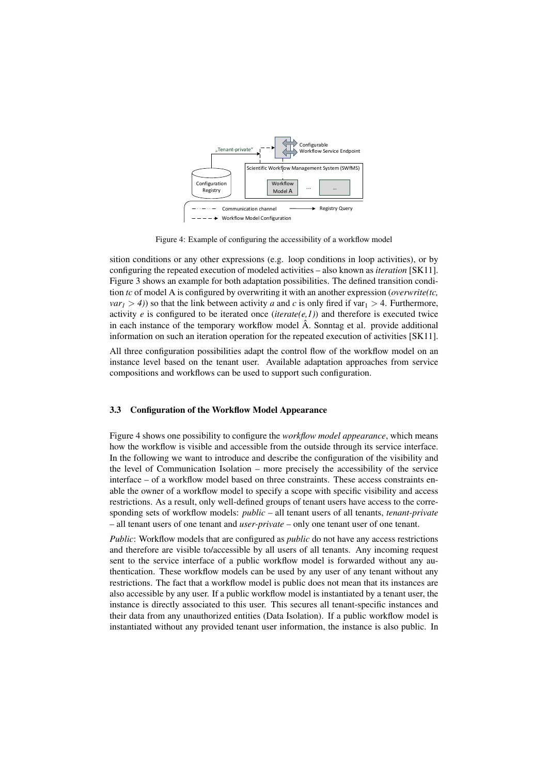

Figure 4: Example of configuring the accessibility of a workflow model

sition conditions or any other expressions (e.g. loop conditions in loop activities), or by configuring the repeated execution of modeled activities – also known as *iteration* [SK11]. Figure 3 shows an example for both adaptation possibilities. The defined transition condition *tc* of model A is configured by overwriting it with an another expression (*overwrite(tc,*  $var_1 > 4$ ) so that the link between activity *a* and *c* is only fired if var<sub>1</sub> > 4. Furthermore, activity *e* is configured to be iterated once (*iterate*(*e,1*)) and therefore is executed twice in each instance of the temporary workflow model  $\hat{A}$ . Sonntag et al. provide additional information on such an iteration operation for the repeated execution of activities [SK11].

All three configuration possibilities adapt the control flow of the workflow model on an instance level based on the tenant user. Available adaptation approaches from service compositions and workflows can be used to support such configuration.

#### 3.3 Configuration of the Workflow Model Appearance

Figure 4 shows one possibility to configure the *workflow model appearance*, which means how the workflow is visible and accessible from the outside through its service interface. In the following we want to introduce and describe the configuration of the visibility and the level of Communication Isolation – more precisely the accessibility of the service interface – of a workflow model based on three constraints. These access constraints enable the owner of a workflow model to specify a scope with specific visibility and access restrictions. As a result, only well-defined groups of tenant users have access to the corresponding sets of workflow models: *public* – all tenant users of all tenants, *tenant-private* – all tenant users of one tenant and *user-private* – only one tenant user of one tenant.

*Public*: Workflow models that are configured as *public* do not have any access restrictions and therefore are visible to/accessible by all users of all tenants. Any incoming request sent to the service interface of a public workflow model is forwarded without any authentication. These workflow models can be used by any user of any tenant without any restrictions. The fact that a workflow model is public does not mean that its instances are also accessible by any user. If a public workflow model is instantiated by a tenant user, the instance is directly associated to this user. This secures all tenant-specific instances and their data from any unauthorized entities (Data Isolation). If a public workflow model is instantiated without any provided tenant user information, the instance is also public. In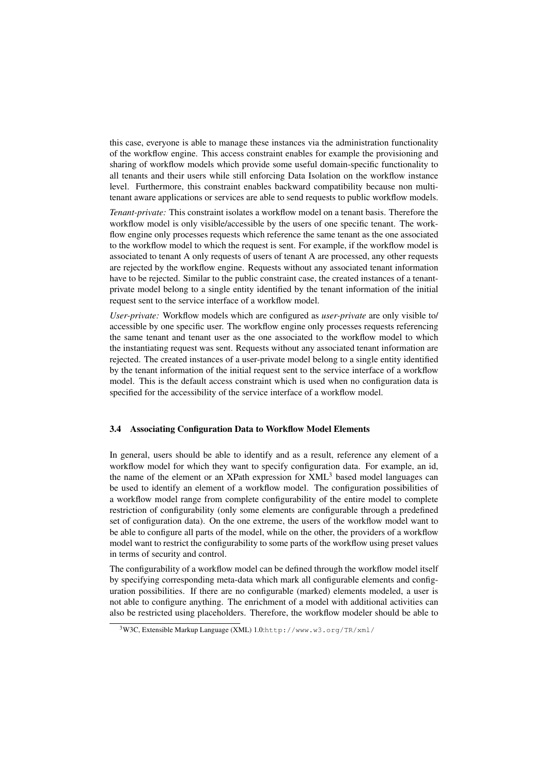this case, everyone is able to manage these instances via the administration functionality of the workflow engine. This access constraint enables for example the provisioning and sharing of workflow models which provide some useful domain-specific functionality to all tenants and their users while still enforcing Data Isolation on the workflow instance level. Furthermore, this constraint enables backward compatibility because non multitenant aware applications or services are able to send requests to public workflow models.

*Tenant-private:* This constraint isolates a workflow model on a tenant basis. Therefore the workflow model is only visible/accessible by the users of one specific tenant. The workflow engine only processes requests which reference the same tenant as the one associated to the workflow model to which the request is sent. For example, if the workflow model is associated to tenant A only requests of users of tenant A are processed, any other requests are rejected by the workflow engine. Requests without any associated tenant information have to be rejected. Similar to the public constraint case, the created instances of a tenantprivate model belong to a single entity identified by the tenant information of the initial request sent to the service interface of a workflow model.

*User-private:* Workflow models which are configured as *user-private* are only visible to/ accessible by one specific user. The workflow engine only processes requests referencing the same tenant and tenant user as the one associated to the workflow model to which the instantiating request was sent. Requests without any associated tenant information are rejected. The created instances of a user-private model belong to a single entity identified by the tenant information of the initial request sent to the service interface of a workflow model. This is the default access constraint which is used when no configuration data is specified for the accessibility of the service interface of a workflow model.

#### 3.4 Associating Configuration Data to Workflow Model Elements

In general, users should be able to identify and as a result, reference any element of a workflow model for which they want to specify configuration data. For example, an id, the name of the element or an XPath expression for XML<sup>3</sup> based model languages can be used to identify an element of a workflow model. The configuration possibilities of a workflow model range from complete configurability of the entire model to complete restriction of configurability (only some elements are configurable through a predefined set of configuration data). On the one extreme, the users of the workflow model want to be able to configure all parts of the model, while on the other, the providers of a workflow model want to restrict the configurability to some parts of the workflow using preset values in terms of security and control.

The configurability of a workflow model can be defined through the workflow model itself by specifying corresponding meta-data which mark all configurable elements and configuration possibilities. If there are no configurable (marked) elements modeled, a user is not able to configure anything. The enrichment of a model with additional activities can also be restricted using placeholders. Therefore, the workflow modeler should be able to

<sup>&</sup>lt;sup>3</sup>W3C, Extensible Markup Language (XML) 1.0:http://www.w3.org/TR/xml/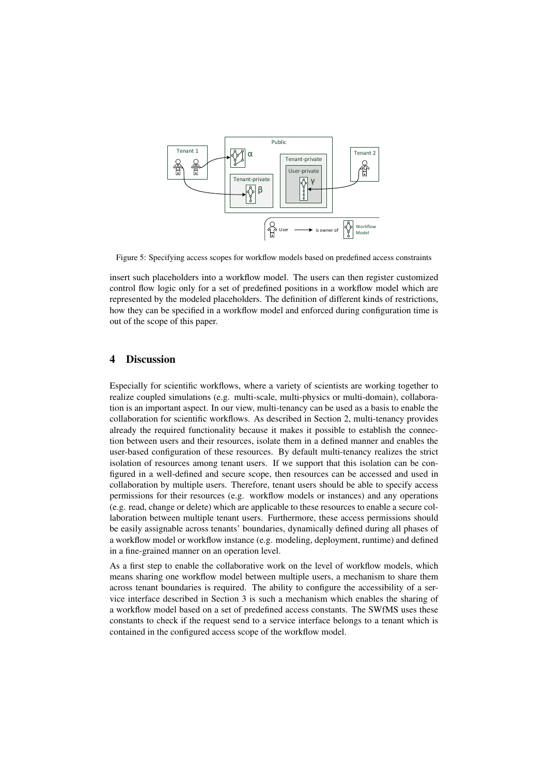

Figure 5: Specifying access scopes for workflow models based on predefined access constraints

insert such placeholders into a workflow model. The users can then register customized control flow logic only for a set of predefined positions in a workflow model which are represented by the modeled placeholders. The definition of different kinds of restrictions, how they can be specified in a workflow model and enforced during configuration time is out of the scope of this paper.

## 4 Discussion

Especially for scientific workflows, where a variety of scientists are working together to realize coupled simulations (e.g. multi-scale, multi-physics or multi-domain), collaboration is an important aspect. In our view, multi-tenancy can be used as a basis to enable the collaboration for scientific workflows. As described in Section 2, multi-tenancy provides already the required functionality because it makes it possible to establish the connection between users and their resources, isolate them in a defined manner and enables the user-based configuration of these resources. By default multi-tenancy realizes the strict isolation of resources among tenant users. If we support that this isolation can be configured in a well-defined and secure scope, then resources can be accessed and used in collaboration by multiple users. Therefore, tenant users should be able to specify access permissions for their resources (e.g. workflow models or instances) and any operations (e.g. read, change or delete) which are applicable to these resources to enable a secure collaboration between multiple tenant users. Furthermore, these access permissions should be easily assignable across tenants' boundaries, dynamically defined during all phases of a workflow model or workflow instance (e.g. modeling, deployment, runtime) and defined in a fine-grained manner on an operation level.

As a first step to enable the collaborative work on the level of workflow models, which means sharing one workflow model between multiple users, a mechanism to share them across tenant boundaries is required. The ability to configure the accessibility of a service interface described in Section 3 is such a mechanism which enables the sharing of a workflow model based on a set of predefined access constants. The SWfMS uses these constants to check if the request send to a service interface belongs to a tenant which is contained in the configured access scope of the workflow model.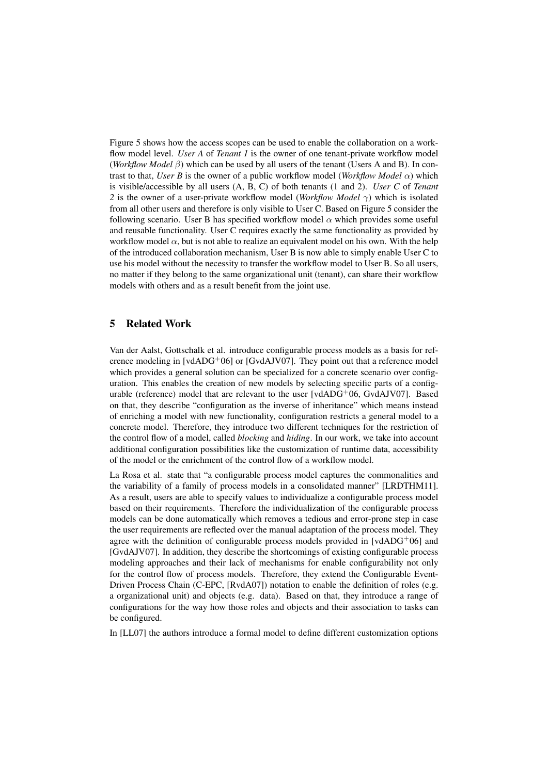Figure 5 shows how the access scopes can be used to enable the collaboration on a workflow model level. *User A* of *Tenant 1* is the owner of one tenant-private workflow model (*Workflow Model* β) which can be used by all users of the tenant (Users A and B). In contrast to that, *User B* is the owner of a public workflow model (*Workflow Model* α) which is visible/accessible by all users (A, B, C) of both tenants (1 and 2). *User C* of *Tenant 2* is the owner of a user-private workflow model (*Workflow Model* γ) which is isolated from all other users and therefore is only visible to User C. Based on Figure 5 consider the following scenario. User B has specified workflow model  $\alpha$  which provides some useful and reusable functionality. User C requires exactly the same functionality as provided by workflow model  $\alpha$ , but is not able to realize an equivalent model on his own. With the help of the introduced collaboration mechanism, User B is now able to simply enable User C to use his model without the necessity to transfer the workflow model to User B. So all users, no matter if they belong to the same organizational unit (tenant), can share their workflow models with others and as a result benefit from the joint use.

## 5 Related Work

Van der Aalst, Gottschalk et al. introduce configurable process models as a basis for reference modeling in  $[vdADG^+06]$  or  $[GvdAJV07]$ . They point out that a reference model which provides a general solution can be specialized for a concrete scenario over configuration. This enables the creation of new models by selecting specific parts of a configurable (reference) model that are relevant to the user  $\lceil \text{vdADG}^{+}06, \text{GvdAJV07} \rceil$ . Based on that, they describe "configuration as the inverse of inheritance" which means instead of enriching a model with new functionality, configuration restricts a general model to a concrete model. Therefore, they introduce two different techniques for the restriction of the control flow of a model, called *blocking* and *hiding*. In our work, we take into account additional configuration possibilities like the customization of runtime data, accessibility of the model or the enrichment of the control flow of a workflow model.

La Rosa et al. state that "a configurable process model captures the commonalities and the variability of a family of process models in a consolidated manner" [LRDTHM11]. As a result, users are able to specify values to individualize a configurable process model based on their requirements. Therefore the individualization of the configurable process models can be done automatically which removes a tedious and error-prone step in case the user requirements are reflected over the manual adaptation of the process model. They agree with the definition of configurable process models provided in  $\lceil \text{vdADG}^+06 \rceil$  and [GvdAJV07]. In addition, they describe the shortcomings of existing configurable process modeling approaches and their lack of mechanisms for enable configurability not only for the control flow of process models. Therefore, they extend the Configurable Event-Driven Process Chain (C-EPC, [RvdA07]) notation to enable the definition of roles (e.g. a organizational unit) and objects (e.g. data). Based on that, they introduce a range of configurations for the way how those roles and objects and their association to tasks can be configured.

In [LL07] the authors introduce a formal model to define different customization options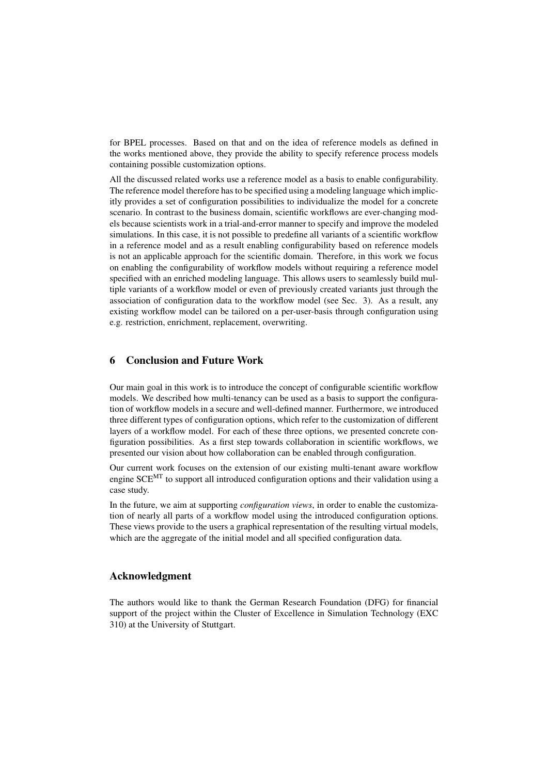for BPEL processes. Based on that and on the idea of reference models as defined in the works mentioned above, they provide the ability to specify reference process models containing possible customization options.

All the discussed related works use a reference model as a basis to enable configurability. The reference model therefore has to be specified using a modeling language which implicitly provides a set of configuration possibilities to individualize the model for a concrete scenario. In contrast to the business domain, scientific workflows are ever-changing models because scientists work in a trial-and-error manner to specify and improve the modeled simulations. In this case, it is not possible to predefine all variants of a scientific workflow in a reference model and as a result enabling configurability based on reference models is not an applicable approach for the scientific domain. Therefore, in this work we focus on enabling the configurability of workflow models without requiring a reference model specified with an enriched modeling language. This allows users to seamlessly build multiple variants of a workflow model or even of previously created variants just through the association of configuration data to the workflow model (see Sec. 3). As a result, any existing workflow model can be tailored on a per-user-basis through configuration using e.g. restriction, enrichment, replacement, overwriting.

## 6 Conclusion and Future Work

Our main goal in this work is to introduce the concept of configurable scientific workflow models. We described how multi-tenancy can be used as a basis to support the configuration of workflow models in a secure and well-defined manner. Furthermore, we introduced three different types of configuration options, which refer to the customization of different layers of a workflow model. For each of these three options, we presented concrete configuration possibilities. As a first step towards collaboration in scientific workflows, we presented our vision about how collaboration can be enabled through configuration.

Our current work focuses on the extension of our existing multi-tenant aware workflow engine SCE<sup>MT</sup> to support all introduced configuration options and their validation using a case study.

In the future, we aim at supporting *configuration views*, in order to enable the customization of nearly all parts of a workflow model using the introduced configuration options. These views provide to the users a graphical representation of the resulting virtual models, which are the aggregate of the initial model and all specified configuration data.

#### Acknowledgment

The authors would like to thank the German Research Foundation (DFG) for financial support of the project within the Cluster of Excellence in Simulation Technology (EXC 310) at the University of Stuttgart.